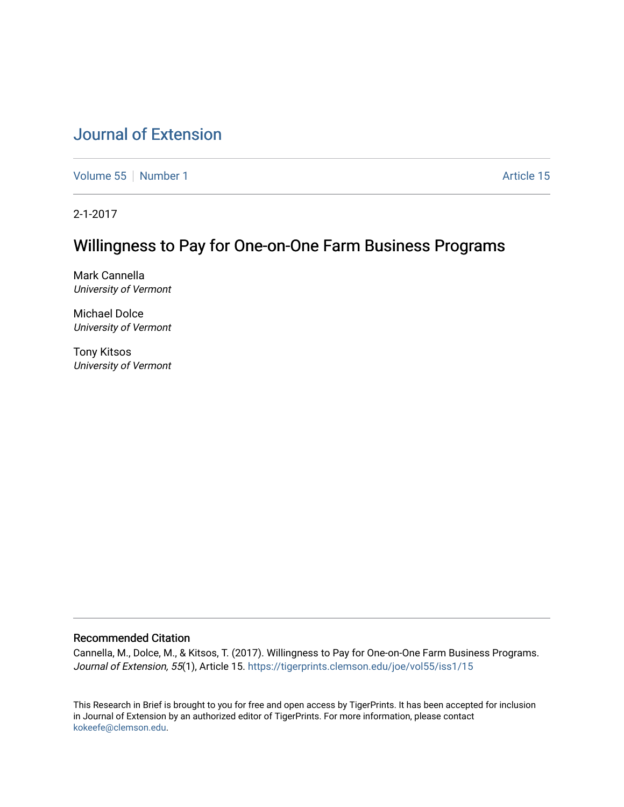# [Journal of Extension](https://tigerprints.clemson.edu/joe)

[Volume 55](https://tigerprints.clemson.edu/joe/vol55) [Number 1](https://tigerprints.clemson.edu/joe/vol55/iss1) Article 15

2-1-2017

# Willingness to Pay for One-on-One Farm Business Programs

Mark Cannella University of Vermont

Michael Dolce University of Vermont

Tony Kitsos University of Vermont

## Recommended Citation

Cannella, M., Dolce, M., & Kitsos, T. (2017). Willingness to Pay for One-on-One Farm Business Programs. Journal of Extension, 55(1), Article 15. https://tigerprints.clemson.edu/joe/vol55/iss1/15

This Research in Brief is brought to you for free and open access by TigerPrints. It has been accepted for inclusion in Journal of Extension by an authorized editor of TigerPrints. For more information, please contact [kokeefe@clemson.edu](mailto:kokeefe@clemson.edu).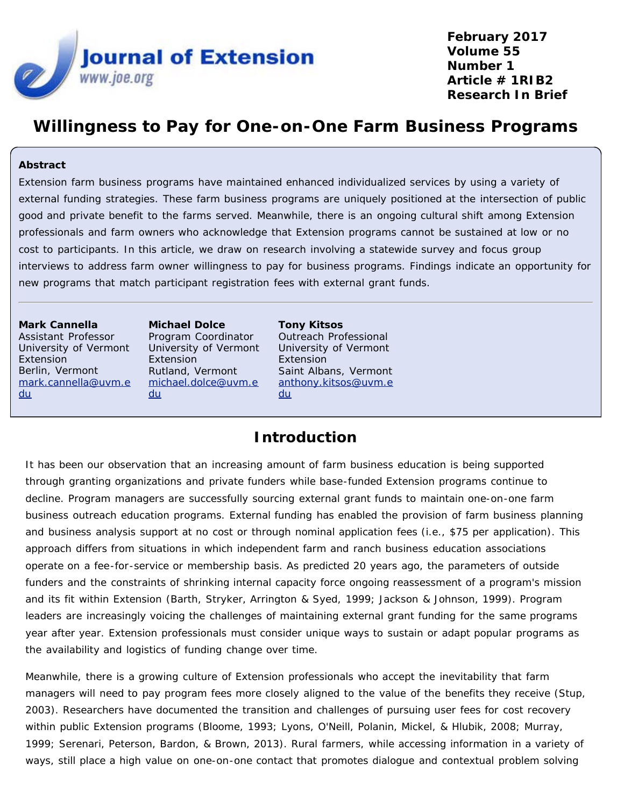

**February 2017 Volume 55 Number 1 Article # 1RIB2 Research In Brief**

# **Willingness to Pay for One-on-One Farm Business Programs**

### **Abstract**

Extension farm business programs have maintained enhanced individualized services by using a variety of external funding strategies. These farm business programs are uniquely positioned at the intersection of public good and private benefit to the farms served. Meanwhile, there is an ongoing cultural shift among Extension professionals and farm owners who acknowledge that Extension programs cannot be sustained at low or no cost to participants. In this article, we draw on research involving a statewide survey and focus group interviews to address farm owner willingness to pay for business programs. Findings indicate an opportunity for new programs that match participant registration fees with external grant funds.

**Mark Cannella** Assistant Professor University of Vermont Extension Berlin, Vermont [mark.cannella@uvm.e](mailto:mark.cannella@uvm.edu) [du](mailto:mark.cannella@uvm.edu)

**Michael Dolce** Program Coordinator University of Vermont Extension Rutland, Vermont [michael.dolce@uvm.e](mailto:michael.dolce@uvm.edu) [du](mailto:michael.dolce@uvm.edu)

**Tony Kitsos** Outreach Professional University of Vermont Extension Saint Albans, Vermont [anthony.kitsos@uvm.e](mailto:anthony.kitsos@uvm.edu) [du](mailto:anthony.kitsos@uvm.edu)

## **Introduction**

It has been our observation that an increasing amount of farm business education is being supported through granting organizations and private funders while base-funded Extension programs continue to decline. Program managers are successfully sourcing external grant funds to maintain one-on-one farm business outreach education programs. External funding has enabled the provision of farm business planning and business analysis support at no cost or through nominal application fees (i.e., \$75 per application). This approach differs from situations in which independent farm and ranch business education associations operate on a fee-for-service or membership basis. As predicted 20 years ago, the parameters of outside funders and the constraints of shrinking internal capacity force ongoing reassessment of a program's mission and its fit within Extension (Barth, Stryker, Arrington & Syed, 1999; Jackson & Johnson, 1999). Program leaders are increasingly voicing the challenges of maintaining external grant funding for the same programs year after year. Extension professionals must consider unique ways to sustain or adapt popular programs as the availability and logistics of funding change over time.

Meanwhile, there is a growing culture of Extension professionals who accept the inevitability that farm managers will need to pay program fees more closely aligned to the value of the benefits they receive (Stup, 2003). Researchers have documented the transition and challenges of pursuing user fees for cost recovery within public Extension programs (Bloome, 1993; Lyons, O'Neill, Polanin, Mickel, & Hlubik, 2008; Murray, 1999; Serenari, Peterson, Bardon, & Brown, 2013). Rural farmers, while accessing information in a variety of ways, still place a high value on one-on-one contact that promotes dialogue and contextual problem solving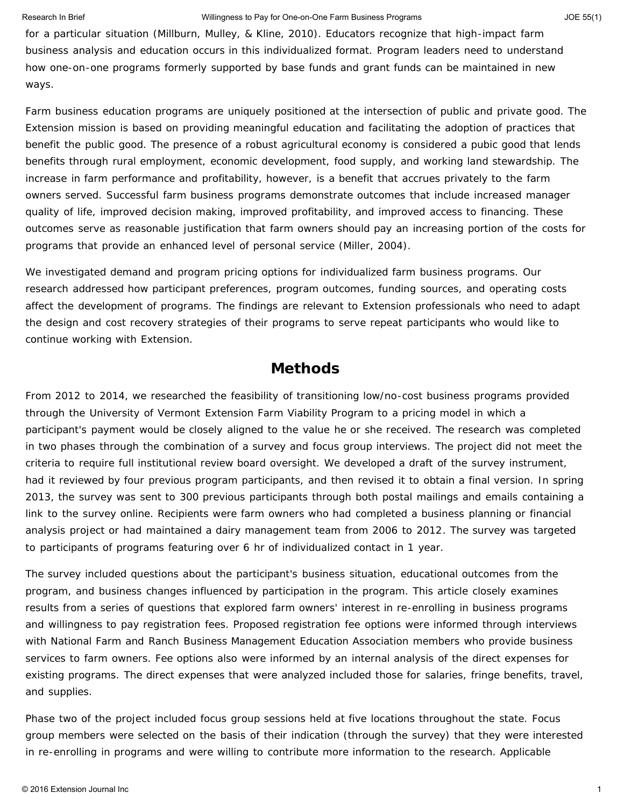#### Research In Brief **Network Constructs Constructs** Willingness to Pay for One-on-One Farm Business Programs **JOE 55(1)** JOE 55(1)

for a particular situation (Millburn, Mulley, & Kline, 2010). Educators recognize that high-impact farm business analysis and education occurs in this individualized format. Program leaders need to understand how one-on-one programs formerly supported by base funds and grant funds can be maintained in new ways.

Farm business education programs are uniquely positioned at the intersection of public and private good. The Extension mission is based on providing meaningful education and facilitating the adoption of practices that benefit the public good. The presence of a robust agricultural economy is considered a pubic good that lends benefits through rural employment, economic development, food supply, and working land stewardship. The increase in farm performance and profitability, however, is a benefit that accrues privately to the farm owners served. Successful farm business programs demonstrate outcomes that include increased manager quality of life, improved decision making, improved profitability, and improved access to financing. These outcomes serve as reasonable justification that farm owners should pay an increasing portion of the costs for programs that provide an enhanced level of personal service (Miller, 2004).

We investigated demand and program pricing options for individualized farm business programs. Our research addressed how participant preferences, program outcomes, funding sources, and operating costs affect the development of programs. The findings are relevant to Extension professionals who need to adapt the design and cost recovery strategies of their programs to serve repeat participants who would like to continue working with Extension.

## **Methods**

From 2012 to 2014, we researched the feasibility of transitioning low/no-cost business programs provided through the University of Vermont Extension Farm Viability Program to a pricing model in which a participant's payment would be closely aligned to the value he or she received. The research was completed in two phases through the combination of a survey and focus group interviews. The project did not meet the criteria to require full institutional review board oversight. We developed a draft of the survey instrument, had it reviewed by four previous program participants, and then revised it to obtain a final version. In spring 2013, the survey was sent to 300 previous participants through both postal mailings and emails containing a link to the survey online. Recipients were farm owners who had completed a business planning or financial analysis project or had maintained a dairy management team from 2006 to 2012. The survey was targeted to participants of programs featuring over 6 hr of individualized contact in 1 year.

The survey included questions about the participant's business situation, educational outcomes from the program, and business changes influenced by participation in the program. This article closely examines results from a series of questions that explored farm owners' interest in re-enrolling in business programs and willingness to pay registration fees. Proposed registration fee options were informed through interviews with National Farm and Ranch Business Management Education Association members who provide business services to farm owners. Fee options also were informed by an internal analysis of the direct expenses for existing programs. The direct expenses that were analyzed included those for salaries, fringe benefits, travel, and supplies.

Phase two of the project included focus group sessions held at five locations throughout the state. Focus group members were selected on the basis of their indication (through the survey) that they were interested in re-enrolling in programs and were willing to contribute more information to the research. Applicable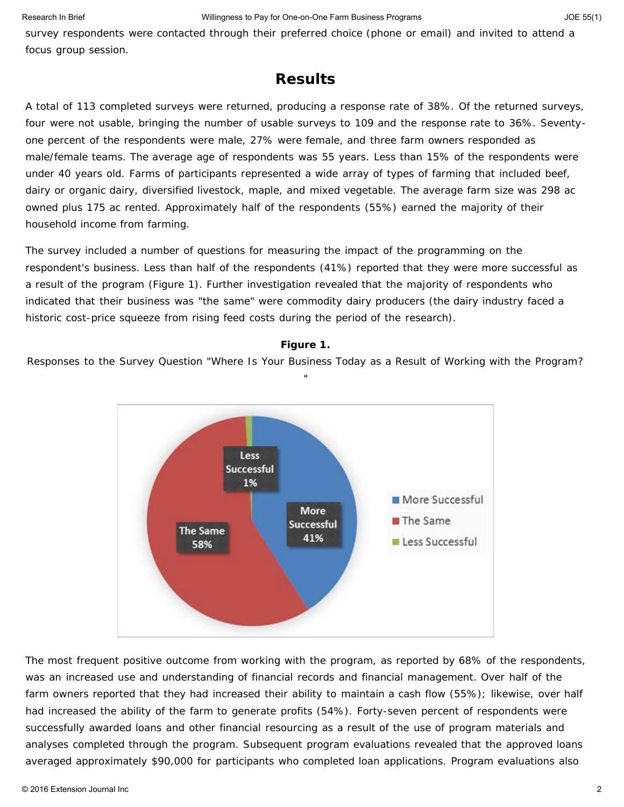survey respondents were contacted through their preferred choice (phone or email) and invited to attend a focus group session.

## **Results**

A total of 113 completed surveys were returned, producing a response rate of 38%. Of the returned surveys, four were not usable, bringing the number of usable surveys to 109 and the response rate to 36%. Seventyone percent of the respondents were male, 27% were female, and three farm owners responded as male/female teams. The average age of respondents was 55 years. Less than 15% of the respondents were under 40 years old. Farms of participants represented a wide array of types of farming that included beef, dairy or organic dairy, diversified livestock, maple, and mixed vegetable. The average farm size was 298 ac owned plus 175 ac rented. Approximately half of the respondents (55%) earned the majority of their household income from farming.

The survey included a number of questions for measuring the impact of the programming on the respondent's business. Less than half of the respondents (41%) reported that they were more successful as a result of the program (Figure 1). Further investigation revealed that the majority of respondents who indicated that their business was "the same" were commodity dairy producers (the dairy industry faced a historic cost-price squeeze from rising feed costs during the period of the research).

## **Figure 1.**

Responses to the Survey Question "Where Is Your Business Today as a Result of Working with the Program? "



The most frequent positive outcome from working with the program, as reported by 68% of the respondents, was an increased use and understanding of financial records and financial management. Over half of the farm owners reported that they had increased their ability to maintain a cash flow (55%); likewise, over half had increased the ability of the farm to generate profits (54%). Forty-seven percent of respondents were successfully awarded loans and other financial resourcing as a result of the use of program materials and analyses completed through the program. Subsequent program evaluations revealed that the approved loans averaged approximately \$90,000 for participants who completed loan applications. Program evaluations also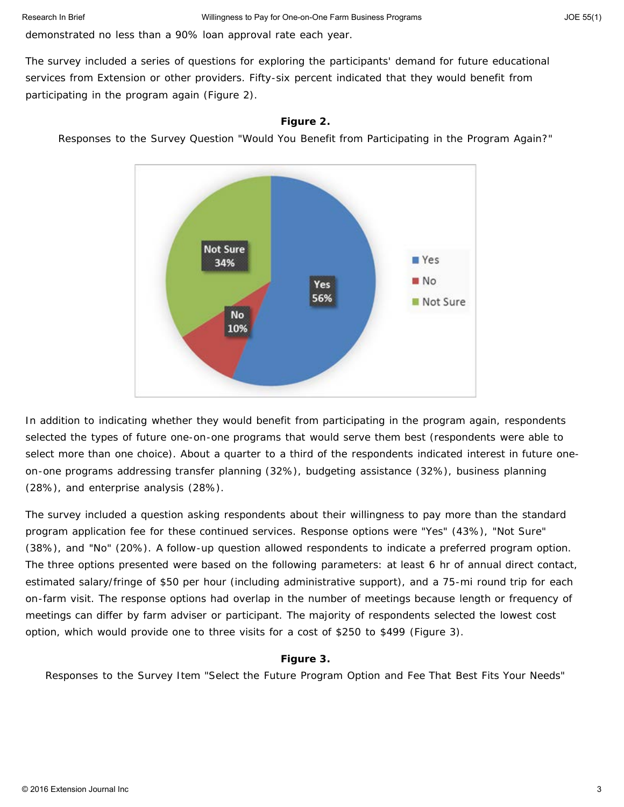demonstrated no less than a 90% loan approval rate each year.

The survey included a series of questions for exploring the participants' demand for future educational services from Extension or other providers. Fifty-six percent indicated that they would benefit from participating in the program again (Figure 2).

### **Figure 2.**

Responses to the Survey Question "Would You Benefit from Participating in the Program Again?"



In addition to indicating whether they would benefit from participating in the program again, respondents selected the types of future one-on-one programs that would serve them best (respondents were able to select more than one choice). About a quarter to a third of the respondents indicated interest in future oneon-one programs addressing transfer planning (32%), budgeting assistance (32%), business planning (28%), and enterprise analysis (28%).

The survey included a question asking respondents about their willingness to pay more than the standard program application fee for these continued services. Response options were "Yes" (43%), "Not Sure" (38%), and "No" (20%). A follow-up question allowed respondents to indicate a preferred program option. The three options presented were based on the following parameters: at least 6 hr of annual direct contact, estimated salary/fringe of \$50 per hour (including administrative support), and a 75-mi round trip for each on-farm visit. The response options had overlap in the number of meetings because length or frequency of meetings can differ by farm adviser or participant. The majority of respondents selected the lowest cost option, which would provide one to three visits for a cost of \$250 to \$499 (Figure 3).

#### **Figure 3.**

Responses to the Survey Item "Select the Future Program Option and Fee That Best Fits Your Needs"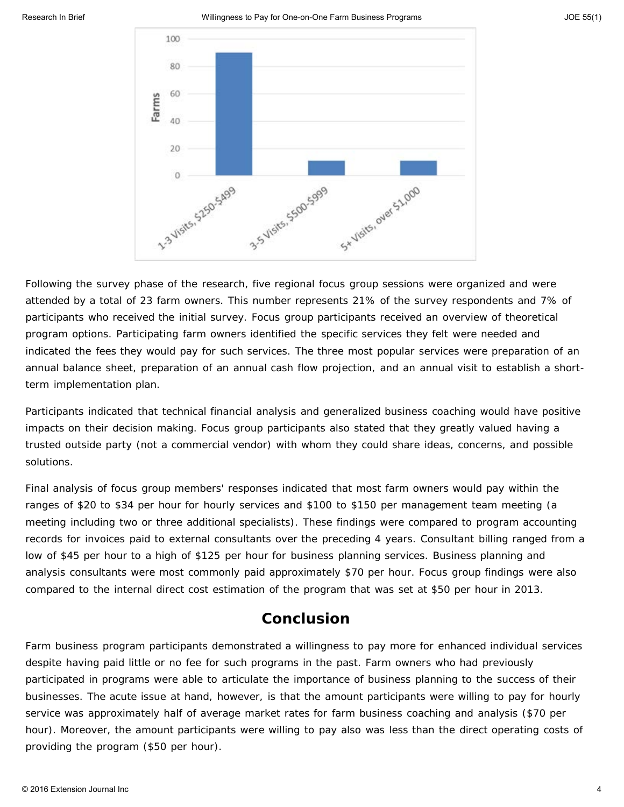

Following the survey phase of the research, five regional focus group sessions were organized and were attended by a total of 23 farm owners. This number represents 21% of the survey respondents and 7% of participants who received the initial survey. Focus group participants received an overview of theoretical program options. Participating farm owners identified the specific services they felt were needed and indicated the fees they would pay for such services. The three most popular services were preparation of an annual balance sheet, preparation of an annual cash flow projection, and an annual visit to establish a shortterm implementation plan.

Participants indicated that technical financial analysis and generalized business coaching would have positive impacts on their decision making. Focus group participants also stated that they greatly valued having a trusted outside party (not a commercial vendor) with whom they could share ideas, concerns, and possible solutions.

Final analysis of focus group members' responses indicated that most farm owners would pay within the ranges of \$20 to \$34 per hour for hourly services and \$100 to \$150 per management team meeting (a meeting including two or three additional specialists). These findings were compared to program accounting records for invoices paid to external consultants over the preceding 4 years. Consultant billing ranged from a low of \$45 per hour to a high of \$125 per hour for business planning services. Business planning and analysis consultants were most commonly paid approximately \$70 per hour. Focus group findings were also compared to the internal direct cost estimation of the program that was set at \$50 per hour in 2013.

## **Conclusion**

Farm business program participants demonstrated a willingness to pay more for enhanced individual services despite having paid little or no fee for such programs in the past. Farm owners who had previously participated in programs were able to articulate the importance of business planning to the success of their businesses. The acute issue at hand, however, is that the amount participants were willing to pay for hourly service was approximately half of average market rates for farm business coaching and analysis (\$70 per hour). Moreover, the amount participants were willing to pay also was less than the direct operating costs of providing the program (\$50 per hour).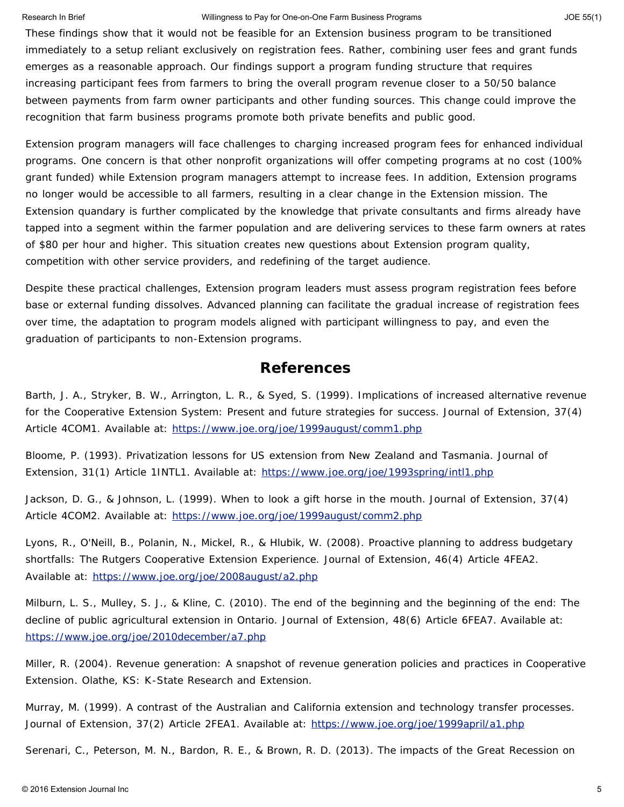#### Research In Brief **Network Constructs Constructs** Willingness to Pay for One-on-One Farm Business Programs **JOE 55(1)** JOE 55(1)

These findings show that it would not be feasible for an Extension business program to be transitioned immediately to a setup reliant exclusively on registration fees. Rather, combining user fees and grant funds emerges as a reasonable approach. Our findings support a program funding structure that requires increasing participant fees from farmers to bring the overall program revenue closer to a 50/50 balance between payments from farm owner participants and other funding sources. This change could improve the recognition that farm business programs promote both private benefits and public good.

Extension program managers will face challenges to charging increased program fees for enhanced individual programs. One concern is that other nonprofit organizations will offer competing programs at no cost (100% grant funded) while Extension program managers attempt to increase fees. In addition, Extension programs no longer would be accessible to all farmers, resulting in a clear change in the Extension mission. The Extension quandary is further complicated by the knowledge that private consultants and firms already have tapped into a segment within the farmer population and are delivering services to these farm owners at rates of \$80 per hour and higher. This situation creates new questions about Extension program quality, competition with other service providers, and redefining of the target audience.

Despite these practical challenges, Extension program leaders must assess program registration fees before base or external funding dissolves. Advanced planning can facilitate the gradual increase of registration fees over time, the adaptation to program models aligned with participant willingness to pay, and even the graduation of participants to non-Extension programs.

## **References**

Barth, J. A., Stryker, B. W., Arrington, L. R., & Syed, S. (1999). Implications of increased alternative revenue for the Cooperative Extension System: Present and future strategies for success. *Journal of Extension*, *37*(4) Article 4COM1. Available at: <https://www.joe.org/joe/1999august/comm1.php>

Bloome, P. (1993). Privatization lessons for US extension from New Zealand and Tasmania. *Journal of Extension*, *31*(1) Article 1INTL1. Available at: <https://www.joe.org/joe/1993spring/intl1.php>

Jackson, D. G., & Johnson, L. (1999). When to look a gift horse in the mouth. *Journal of Extension*, *37*(4) Article 4COM2. Available at: <https://www.joe.org/joe/1999august/comm2.php>

Lyons, R., O'Neill, B., Polanin, N., Mickel, R., & Hlubik, W. (2008). Proactive planning to address budgetary shortfalls: The Rutgers Cooperative Extension Experience. *Journal of Extension*, *46*(4) Article 4FEA2. Available at: <https://www.joe.org/joe/2008august/a2.php>

Milburn, L. S., Mulley, S. J., & Kline, C. (2010). The end of the beginning and the beginning of the end: The decline of public agricultural extension in Ontario. *Journal of Extension*, *48*(6) Article 6FEA7. Available at: <https://www.joe.org/joe/2010december/a7.php>

Miller, R. (2004). *Revenue generation: A snapshot of revenue generation policies and practices in Cooperative Extension*. Olathe, KS: K-State Research and Extension.

Murray, M. (1999). A contrast of the Australian and California extension and technology transfer processes. *Journal of Extension*, *37*(2) Article 2FEA1. Available at: <https://www.joe.org/joe/1999april/a1.php>

Serenari, C., Peterson, M. N., Bardon, R. E., & Brown, R. D. (2013). The impacts of the Great Recession on